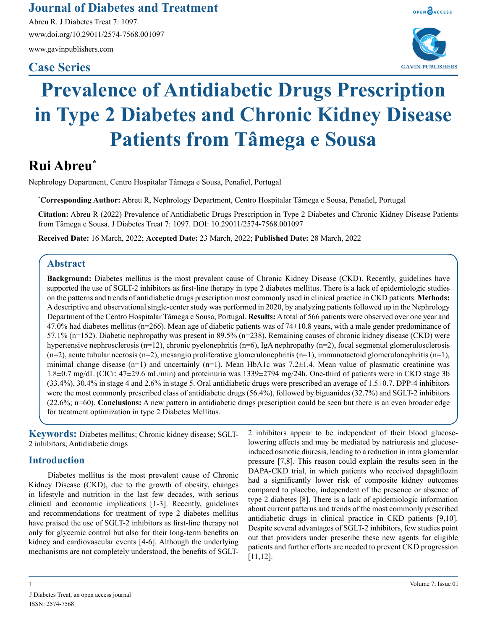**Journal of Diabetes and Treatment**

Abreu R. J Diabetes Treat 7: 1097. www.doi.org/10.29011/2574-7568.001097

www.gavinpublishers.com

# **Case Series**





# **Prevalence of Antidiabetic Drugs Prescription in Type 2 Diabetes and Chronic Kidney Disease Patients from Tâmega e Sousa**

# **Rui Abreu\***

Nephrology Department, Centro Hospitalar Tâmega e Sousa, Penafiel, Portugal

**\* Corresponding Author:** Abreu R, Nephrology Department, Centro Hospitalar Tâmega e Sousa, Penafiel, Portugal

**Citation:** Abreu R (2022) Prevalence of Antidiabetic Drugs Prescription in Type 2 Diabetes and Chronic Kidney Disease Patients from Tâmega e Sousa. J Diabetes Treat 7: 1097. DOI: 10.29011/2574-7568.001097

**Received Date:** 16 March, 2022; **Accepted Date:** 23 March, 2022; **Published Date:** 28 March, 2022

### **Abstract**

**Background:** Diabetes mellitus is the most prevalent cause of Chronic Kidney Disease (CKD). Recently, guidelines have supported the use of SGLT-2 inhibitors as first-line therapy in type 2 diabetes mellitus. There is a lack of epidemiologic studies on the patterns and trends of antidiabetic drugs prescription most commonly used in clinical practice in CKD patients. **Methods:** A descriptive and observational single-center study was performed in 2020, by analyzing patients followed up in the Nephrology Department of the Centro Hospitalar Tâmega e Sousa, Portugal. **Results:** A total of 566 patients were observed over one year and 47.0% had diabetes mellitus ( $n=266$ ). Mean age of diabetic patients was of  $74\pm10.8$  years, with a male gender predominance of 57.1% (n=152). Diabetic nephropathy was present in 89.5% (n=238). Remaining causes of chronic kidney disease (CKD) were hypertensive nephrosclerosis (n=12), chronic pyelonephritis (n=6), IgA nephropathy (n=2), focal segmental glomerulosclerosis  $(n=2)$ , acute tubular necrosis  $(n=2)$ , mesangio proliferative glomerulonephritis  $(n=1)$ , immunotactoid glomerulonephritis  $(n=1)$ , minimal change disease  $(n=1)$  and uncertainly  $(n=1)$ . Mean HbA1c was 7.2 $\pm$ 1.4. Mean value of plasmatic creatinine was 1.8±0.7 mg/dL (ClCr: 47±29.6 mL/min) and proteinuria was 1339±2794 mg/24h. One-third of patients were in CKD stage 3b (33.4%), 30.4% in stage 4 and 2.6% in stage 5. Oral antidiabetic drugs were prescribed an average of 1.5±0.7. DPP-4 inhibitors were the most commonly prescribed class of antidiabetic drugs (56.4%), followed by biguanides (32.7%) and SGLT-2 inhibitors (22.6%; n=60). **Conclusions:** A new pattern in antidiabetic drugs prescription could be seen but there is an even broader edge for treatment optimization in type 2 Diabetes Mellitus.

**Keywords:** Diabetes mellitus; Chronic kidney disease; SGLT-2 inhibitors; Antidiabetic drugs

## **Introduction**

Diabetes mellitus is the most prevalent cause of Chronic Kidney Disease (CKD), due to the growth of obesity, changes in lifestyle and nutrition in the last few decades, with serious clinical and economic implications [1-3]. Recently, guidelines and recommendations for treatment of type 2 diabetes mellitus have praised the use of SGLT-2 inhibitors as first-line therapy not only for glycemic control but also for their long-term benefits on kidney and cardiovascular events [4-6]. Although the underlying mechanisms are not completely understood, the benefits of SGLT-

2 inhibitors appear to be independent of their blood glucoselowering effects and may be mediated by natriuresis and glucoseinduced osmotic diuresis, leading to a reduction in intra glomerular pressure [7,8]. This reason could explain the results seen in the DAPA-CKD trial, in which patients who received dapagliflozin had a significantly lower risk of composite kidney outcomes compared to placebo, independent of the presence or absence of type 2 diabetes [8]. There is a lack of epidemiologic information about current patterns and trends of the most commonly prescribed antidiabetic drugs in clinical practice in CKD patients [9,10]. Despite several advantages of SGLT-2 inhibitors, few studies point out that providers under prescribe these new agents for eligible patients and further efforts are needed to prevent CKD progression [11,12].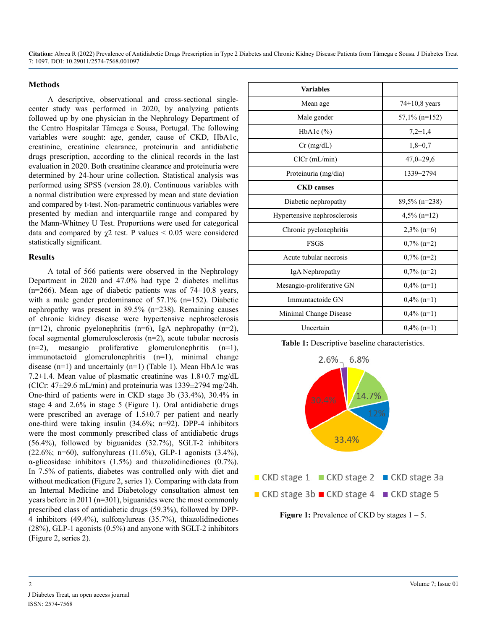**Citation:** Abreu R (2022) Prevalence of Antidiabetic Drugs Prescription in Type 2 Diabetes and Chronic Kidney Disease Patients from Tâmega e Sousa. J Diabetes Treat 7: 1097. DOI: 10.29011/2574-7568.001097

#### **Methods**

A descriptive, observational and cross-sectional singlecenter study was performed in 2020, by analyzing patients followed up by one physician in the Nephrology Department of the Centro Hospitalar Tâmega e Sousa, Portugal. The following variables were sought: age, gender, cause of CKD, HbA1c, creatinine, creatinine clearance, proteinuria and antidiabetic drugs prescription, according to the clinical records in the last evaluation in 2020. Both creatinine clearance and proteinuria were determined by 24-hour urine collection. Statistical analysis was performed using SPSS (version 28.0). Continuous variables with a normal distribution were expressed by mean and state deviation and compared by t-test. Non-parametric continuous variables were presented by median and interquartile range and compared by the Mann-Whitney U Test. Proportions were used for categorical data and compared by  $\gamma$ 2 test. P values  $\leq$  0.05 were considered statistically significant.

#### **Results**

A total of 566 patients were observed in the Nephrology Department in 2020 and 47.0% had type 2 diabetes mellitus  $(n=266)$ . Mean age of diabetic patients was of  $74\pm10.8$  years, with a male gender predominance of 57.1% (n=152). Diabetic nephropathy was present in 89.5% (n=238). Remaining causes of chronic kidney disease were hypertensive nephrosclerosis  $(n=12)$ , chronic pyelonephritis  $(n=6)$ , IgA nephropathy  $(n=2)$ , focal segmental glomerulosclerosis (n=2), acute tubular necrosis (n=2), mesangio proliferative glomerulonephritis (n=1), immunotactoid glomerulonephritis (n=1), minimal change disease (n=1) and uncertainly (n=1) (Table 1). Mean HbA1c was 7.2±1.4. Mean value of plasmatic creatinine was 1.8±0.7 mg/dL (ClCr:  $47\pm29.6$  mL/min) and proteinuria was  $1339\pm2794$  mg/24h. One-third of patients were in CKD stage 3b (33.4%), 30.4% in stage 4 and 2.6% in stage 5 (Figure 1). Oral antidiabetic drugs were prescribed an average of 1.5±0.7 per patient and nearly one-third were taking insulin (34.6%; n=92). DPP-4 inhibitors were the most commonly prescribed class of antidiabetic drugs (56.4%), followed by biguanides (32.7%), SGLT-2 inhibitors  $(22.6\%; n=60)$ , sulfonylureas  $(11.6\%)$ , GLP-1 agonists  $(3.4\%)$ , α-glicosidase inhibitors (1.5%) and thiazolidinediones (0.7%). In 7.5% of patients, diabetes was controlled only with diet and without medication (Figure 2, series 1). Comparing with data from an Internal Medicine and Diabetology consultation almost ten years before in 2011 (n=301), biguanides were the most commonly prescribed class of antidiabetic drugs (59.3%), followed by DPP-4 inhibitors (49.4%), sulfonylureas (35.7%), thiazolidinediones (28%), GLP-1 agonists (0.5%) and anyone with SGLT-2 inhibitors (Figure 2, series 2).

| <b>Variables</b>             |                   |
|------------------------------|-------------------|
| Mean age                     | $74\pm10.8$ years |
| Male gender                  | $57,1\%$ (n=152)  |
| HbA <sub>1</sub> c $(\%)$    | $7,2\pm1,4$       |
| $Cr$ (mg/dL)                 | $1,8+0,7$         |
| $ClCr$ (mL/min)              | $47,0 \pm 29,6$   |
| Proteinuria (mg/dia)         | 1339±2794         |
| <b>CKD</b> causes            |                   |
| Diabetic nephropathy         | 89,5% (n=238)     |
| Hypertensive nephrosclerosis | $4,5\%$ (n=12)    |
| Chronic pyelonephritis       | $2,3\%$ (n=6)     |
| <b>FSGS</b>                  | $0,7\%$ (n=2)     |
| Acute tubular necrosis       | $0,7\%$ (n=2)     |
| IgA Nephropathy              | $0,7\%$ (n=2)     |
| Mesangio-proliferative GN    | $0,4\%$ (n=1)     |
| Immuntactoide GN             | $0,4\%$ (n=1)     |
| Minimal Change Disease       | $0,4\%$ (n=1)     |
| Uncertain                    | $0,4\%$ (n=1)     |



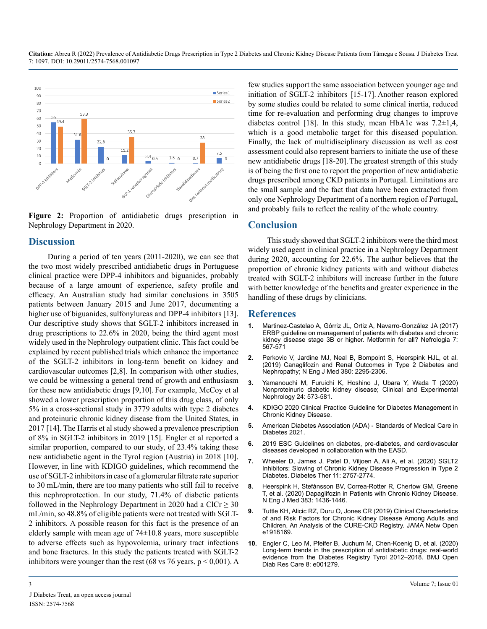**Citation:** Abreu R (2022) Prevalence of Antidiabetic Drugs Prescription in Type 2 Diabetes and Chronic Kidney Disease Patients from Tâmega e Sousa. J Diabetes Treat 7: 1097. DOI: 10.29011/2574-7568.001097



**Figure 2:** Proportion of antidiabetic drugs prescription in Nephrology Department in 2020.

#### **Discussion**

During a period of ten years (2011-2020), we can see that the two most widely prescribed antidiabetic drugs in Portuguese clinical practice were DPP-4 inhibitors and biguanides, probably because of a large amount of experience, safety profile and efficacy. An Australian study had similar conclusions in 3505 patients between January 2015 and June 2017, documenting a higher use of biguanides, sulfonylureas and DPP-4 inhibitors [13]. Our descriptive study shows that SGLT-2 inhibitors increased in drug prescriptions to 22.6% in 2020, being the third agent most widely used in the Nephrology outpatient clinic. This fact could be explained by recent published trials which enhance the importance of the SGLT-2 inhibitors in long-term benefit on kidney and cardiovascular outcomes [2,8]. In comparison with other studies, we could be witnessing a general trend of growth and enthusiasm for these new antidiabetic drugs [9,10]. For example, McCoy et al showed a lower prescription proportion of this drug class, of only 5% in a cross-sectional study in 3779 adults with type 2 diabetes and proteinuric chronic kidney disease from the United States, in 2017 [14]. The Harris et al study showed a prevalence prescription of 8% in SGLT-2 inhibitors in 2019 [15]. Engler et al reported a similar proportion, compared to our study, of 23.4% taking these new antidiabetic agent in the Tyrol region (Austria) in 2018 [10]. However, in line with KDIGO guidelines, which recommend the use of SGLT-2 inhibitors in case of a glomerular filtrate rate superior to 30 mL/min, there are too many patients who still fail to receive this nephroprotection. In our study, 71.4% of diabetic patients followed in the Nephrology Department in 2020 had a ClCr  $\geq$  30 mL/min, so 48.8% of eligible patients were not treated with SGLT-2 inhibitors. A possible reason for this fact is the presence of an elderly sample with mean age of 74±10.8 years, more susceptible to adverse effects such as hypovolemia, urinary tract infections and bone fractures. In this study the patients treated with SGLT-2 inhibitors were younger than the rest (68 vs 76 years,  $p < 0.001$ ). A few studies support the same association between younger age and initiation of SGLT-2 inhibitors [15-17]. Another reason explored by some studies could be related to some clinical inertia, reduced time for re-evaluation and performing drug changes to improve diabetes control [18]. In this study, mean HbA1c was  $7.2\pm1.4$ , which is a good metabolic target for this diseased population. Finally, the lack of multidisciplinary discussion as well as cost assessment could also represent barriers to initiate the use of these new antidiabetic drugs [18-20].The greatest strength of this study is of being the first one to report the proportion of new antidiabetic drugs prescribed among CKD patients in Portugal. Limitations are the small sample and the fact that data have been extracted from only one Nephrology Department of a northern region of Portugal, and probably fails to reflect the reality of the whole country.

#### **Conclusion**

This study showed that SGLT-2 inhibitors were the third most widely used agent in clinical practice in a Nephrology Department during 2020, accounting for 22.6%. The author believes that the proportion of chronic kidney patients with and without diabetes treated with SGLT-2 inhibitors will increase further in the future with better knowledge of the benefits and greater experience in the handling of these drugs by clinicians.

#### **References**

- **1.** [Martinez-Castelao A, Górriz JL, Ortiz A, Navarro-González JA \(2017\)](https://pubmed.ncbi.nlm.nih.gov/28669489/) [ERBP guideline on management of patients with diabetes and chronic](https://pubmed.ncbi.nlm.nih.gov/28669489/)  [kidney disease stage 3B or higher. Metformin for all? Nefrologia 7:](https://pubmed.ncbi.nlm.nih.gov/28669489/)  [567-571](https://pubmed.ncbi.nlm.nih.gov/28669489/)
- **2.** [Perkovic V, Jardine MJ, Neal B, Bompoint S, Heerspink HJL, et al.](https://www.nejm.org/doi/full/10.1056/nejmoa1811744)  [\(2019\) Canaglifozin and Renal Outcomes in Type 2 Diabetes and](https://www.nejm.org/doi/full/10.1056/nejmoa1811744)  [Nephropathy; N Eng J Med 380: 2295-2306.](https://www.nejm.org/doi/full/10.1056/nejmoa1811744)
- **3.** [Yamanouchi M, Furuichi K, Hoshino J, Ubara Y, Wada T \(2020\)](https://www.ncbi.nlm.nih.gov/pmc/articles/PMC7271053/)  [Nonproteinuric diabetic kidney disease; Clinical and Experimental](https://www.ncbi.nlm.nih.gov/pmc/articles/PMC7271053/)  [Nephrology 24: 573-581.](https://www.ncbi.nlm.nih.gov/pmc/articles/PMC7271053/)
- **4.** [KDIGO 2020 Clinical Practice Guideline for Diabetes Management in](https://www.kidney-international.org/article/S0085-2538(20)30718-3/fulltext)  [Chronic Kidney Disease](https://www.kidney-international.org/article/S0085-2538(20)30718-3/fulltext).
- **5.** [American Diabetes Association \(ADA\) Standards of Medical Care in](https://www.diabetes.org/newsroom/press-releases/2020/ADA-releases-2021-standards-of-medical-care-in-diabetes)  [Diabetes 2021.](https://www.diabetes.org/newsroom/press-releases/2020/ADA-releases-2021-standards-of-medical-care-in-diabetes)
- **6.** [2019 ESC Guidelines on diabetes, pre-diabetes, and cardiovascular](https://pubmed.ncbi.nlm.nih.gov/31497854/)  [diseases developed in collaboration with the EASD.](https://pubmed.ncbi.nlm.nih.gov/31497854/)
- **7.** [Wheeler D, James J, Patel D, Viljoen A, Ali A, et al. \(2020\) SGLT2](https://pubmed.ncbi.nlm.nih.gov/32996085/)  [Inhibitors: Slowing of Chronic Kidney Disease Progression in Type 2](https://pubmed.ncbi.nlm.nih.gov/32996085/)  [Diabetes. Diabetes Ther 11: 2757-2774](https://pubmed.ncbi.nlm.nih.gov/32996085/).
- **8.** [Heerspink H, Stefánsson BV, Correa-Rotter R, Chertow GM, Greene](https://www.nejm.org/doi/full/10.1056/NEJMoa2024816)  [T, et al. \(2020\) Dapaglifozin in Patients with Chronic Kidney Disease.](https://www.nejm.org/doi/full/10.1056/NEJMoa2024816) [N Eng J Med 383: 1436-1446.](https://www.nejm.org/doi/full/10.1056/NEJMoa2024816)
- **9.** [Tuttle KH, Alicic RZ, Duru O, Jones CR \(2019\) Clinical Characteristics](https://www.researchgate.net/publication/338089098_Clinical_Characteristics_of_and_Risk_Factors_for_Chronic_Kidney_Disease_Among_Adults_and_Children_An_Analysis_of_the_CURE-CKD_Registry)  [of and Risk Factors for Chronic Kidney Disease Among Adults and](https://www.researchgate.net/publication/338089098_Clinical_Characteristics_of_and_Risk_Factors_for_Chronic_Kidney_Disease_Among_Adults_and_Children_An_Analysis_of_the_CURE-CKD_Registry)  [Children, An Analysis of the CURE-CKD Registry. JAMA Netw Open](https://www.researchgate.net/publication/338089098_Clinical_Characteristics_of_and_Risk_Factors_for_Chronic_Kidney_Disease_Among_Adults_and_Children_An_Analysis_of_the_CURE-CKD_Registry)  [e1918169.](https://www.researchgate.net/publication/338089098_Clinical_Characteristics_of_and_Risk_Factors_for_Chronic_Kidney_Disease_Among_Adults_and_Children_An_Analysis_of_the_CURE-CKD_Registry)
- **10.** [Engler C, Leo M, Pfeifer B, Juchum M, Chen-Koenig D, et al. \(2020\)](https://drc.bmj.com/content/8/1/e001279) [Long-term trends in the prescription of antidiabetic drugs: real-world](https://drc.bmj.com/content/8/1/e001279)  [evidence from the Diabetes Registry Tyrol 2012–2018. BMJ Open](https://drc.bmj.com/content/8/1/e001279) [Diab Res Care 8: e001279.](https://drc.bmj.com/content/8/1/e001279)